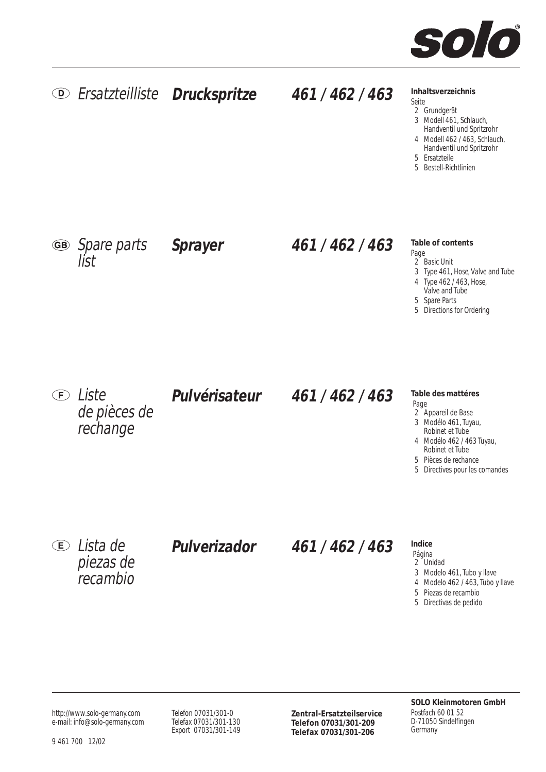

### **Inhaltsverzeichnis**

- Seite 2 Grundgerät
- 3 Modell 461, Schlauch,
- Handventil und Spritzrohr
- 4 Modell 462 / 463, Schlauch,
- Handventil und Spritzrohr 5 Ersatzteile
- 5 Bestell-Richtlinien

Spare parts **Sprayer** list

# **461 / 462 / 463**

- **Table of contents**
- Page 2<sup> $\overline{2}$ </sup> Basic Unit
- 3 Type 461, Hose, Valve and Tube
- 4 Type 462 / 463, Hose,
- Valve and Tube
- 5 Spare Parts
- 5 Directions for Ordering

**E** Liste de pièces de rechange

# **461 / 462 / 463 Pulvérisateur**

#### **Table des mattéres** Page

- 2 Appareil de Base
- 3 Modélo 461, Tuyau,
- Robinet et Tube 4 Modélo 462 / 463 Tuyau,
- Robinet et Tube
- 5 Pièces de rechance
- 5 Directives pour les comandes

Lista de piezas de recambio

**Pulverizador**

# **461 / 462 / 463**

## **Indice**

- Página 2 Unidad
- 3 Modelo 461, Tubo y llave
- 4 Modelo 462 / 463, Tubo y llave
- 5 Piezas de recambio
- 5 Directivas de pedido

http://www.solo-germany.com e-mail: info@solo-germany.com Telefon 07031/301-0 Telefax 07031/301-130 Export 07031/301-149 **Zentral-Ersatzteilservice Telefon 07031/301-209 Telefax 07031/301-206**

**SOLO Kleinmotoren GmbH** Postfach 60 01 52 D-71050 Sindelfingen Germany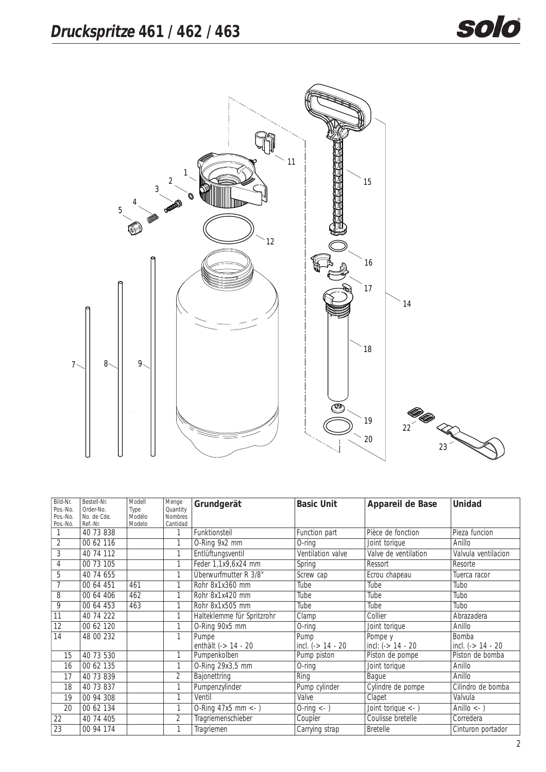

| Bild-Nr.<br>Pos.-No. | Bestell-Nr.<br>Order-No. | Modell         | Menge<br>Quantity | Grundgerät                 | <b>Basic Unit</b>               | Appareil de Base             | <b>Unidad</b>         |
|----------------------|--------------------------|----------------|-------------------|----------------------------|---------------------------------|------------------------------|-----------------------|
| Pos.-No.             | No. de Cde.              | Type<br>Modélo | <b>Nombres</b>    |                            |                                 |                              |                       |
| Pos.-No.             | Ref.-Nr.                 | Modelo         | Cantidad          |                            |                                 |                              |                       |
|                      | 40 73 838                |                | 1                 | Funktionsteil              | Function part                   | Pièce de fonction            | Pieza funcion         |
| $\overline{2}$       | 00 62 116                |                | 1                 | O-Ring 9x2 mm              | $O$ -ring                       | Joint torique                | Anillo                |
| 3                    | 40 74 112                |                | 1                 | Entlüftungsventil          | Ventilation valve               | Valve de ventilation         | Valvula ventilacion   |
| $\overline{4}$       | 00 73 105                |                | 1                 | Feder 1,1x9,6x24 mm        | Spring                          | Ressort                      | Resorte               |
| 5                    | 40 74 655                |                | 1                 | Überwurfmutter R 3/8"      | Screw cap                       | Ecrou chapeau                | Tuerca racor          |
| 7                    | 00 64 451                | 461            | 1                 | Rohr 8x1x360 mm            | Tube                            | Tube                         | Tubo                  |
| 8                    | 00 64 406                | 462            | 1                 | Rohr 8x1x420 mm            | Tube                            | Tube                         | Tubo                  |
| 9                    | 00 64 453                | 463            | 1                 | Rohr 8x1x505 mm            | Tube                            | Tube                         | Tubo                  |
| $\overline{11}$      | 40 74 222                |                | 1                 | Halteklemme für Spritzrohr | Clamp                           | Collier                      | Abrazadera            |
| 12                   | 00 62 120                |                | $\mathbf{1}$      | O-Ring 90x5 mm             | $O$ -ring                       | Joint torique                | Anillo                |
| 14                   | 48 00 232                |                | 1                 | Pumpe                      | Pump                            | Pompe y                      | Bomba                 |
|                      |                          |                |                   | enthält (-> 14 - 20        | incl. $(- > 14 - 20$            | incl: $(- > 14 - 20$         | incl. $(- > 14 - 20$  |
| 15                   | 40 73 530                |                | 1                 | Pumpenkolben               | Pump piston                     | Piston de pompe              | Piston de bomba       |
| 16                   | 00 62 135                |                | 1                 | O-Ring 29x3,5 mm           | $O$ -ring                       | Joint torique                | Anillo                |
| 17                   | 40 73 839                |                | 2                 | Bajonettring               | Ring                            | Bague                        | Anillo                |
| 18                   | 40 73 837                |                | 1                 | Pumpenzylinder             | Pump cylinder                   | Cylindre de pompe            | Cilindro de bomba     |
| 19                   | 00 94 308                |                | 1                 | Ventil                     | Valve                           | Clapet                       | Valvula               |
| 20                   | 00 62 134                |                | 1                 | $O-Ring 47x5 mm < -$ )     | $0$ -ring $\langle$ - $\rangle$ | Joint torique $\leftarrow$ ) | Anillo $\leftarrow$ ) |
| $\overline{22}$      | 40 74 405                |                | $\overline{2}$    | Tragriemenschieber         | Coupler                         | Coulisse bretelle            | Corredera             |
| 23                   | 00 94 174                |                | 1                 | Tragriemen                 | Carrying strap                  | <b>Bretelle</b>              | Cinturon portador     |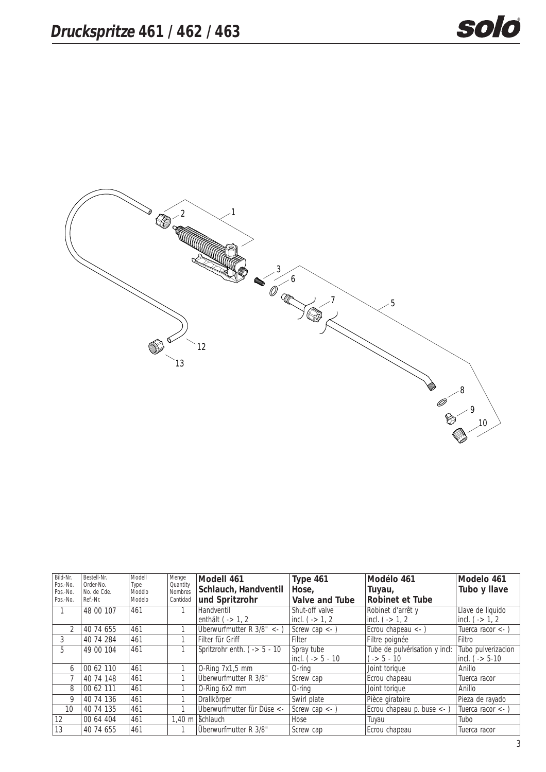

| Bild-Nr.             | Bestell-Nr.              | Modell         | Menge               | Modell 461                              | Type 461                      | Modélo 461                                | Modelo 461                     |
|----------------------|--------------------------|----------------|---------------------|-----------------------------------------|-------------------------------|-------------------------------------------|--------------------------------|
| Pos.-No.<br>Pos.-No. | Order-No.<br>No. de Cde. | Type<br>Modélo | Quantity<br>Nombres | Schlauch, Handventil                    | Hose,                         | Tuyau,                                    | Tubo y Ilave                   |
| Pos.-No.             | Ref.-Nr.                 | Modelo         | Cantidad            | und Spritzrohr                          | Valve and Tube                | <b>Robinet et Tube</b>                    |                                |
|                      | 48 00 107                | 461            |                     | Handventil                              | Shut-off valve                | Robinet d'arrêt y                         | Llave de liquido               |
|                      |                          |                |                     | enthält $($ -> 1, 2                     | incl. $( -2 1, 2)$            | incl. $( -2 1, 2)$                        | $ $ incl. ( $\rightarrow$ 1, 2 |
| $\overline{2}$       | 40 74 655                | 461            |                     | Überwurfmutter $R \frac{3}{8}$ <-       | Screw cap $\langle - \rangle$ | Ecrou chapeau $\leftarrow$ )              | Tuerca racor $\leftarrow$      |
| 3                    | 40 74 284                | 461            |                     | Filter für Griff                        | Filter                        | Filtre poignée                            | Filtro                         |
| 5                    | 49 00 104                | 461            |                     | Spritzrohr enth. ( $\rightarrow$ 5 - 10 | Spray tube                    | Tube de pulvérisation y incl:             | Tubo pulverizacion             |
|                      |                          |                |                     |                                         | $ $ incl. ( $-$ > 5 - 10      | $\frac{1}{2}$ -> 5 - 10                   | $ $ incl. ( $-$ > 5-10         |
| 6                    | 00 62 110                | 461            |                     | O-Ring 7x1,5 mm                         | $O$ -ring                     | Joint torique                             | Anillo                         |
|                      | 40 74 148                | 461            |                     | Überwurfmutter R 3/8"                   | Screw cap                     | Ecrou chapeau                             | Tuerca racor                   |
| 8                    | 00 62 111                | 461            |                     | O-Ring 6x2 mm                           | $O$ -ring                     | Joint torique                             | Anillo                         |
| 9                    | 40 74 136                | 461            |                     | Drallkörper                             | Swirl plate                   | Pièce giratoire                           | Pieza de rayado                |
| 10                   | 40 74 135                | 461            |                     | Überwurfmutter für Düse <-              | Screw cap $\lt$ -             | Ecrou chapeau p. buse $\langle - \rangle$ | Tuerca racor $\lt$ -           |
| 12                   | 00 64 404                | 461            |                     | 1.40 m   Schlauch                       | Hose                          | Tuyau                                     | Tubo                           |
| 13                   | 40 74 655                | 461            |                     | Überwurfmutter R 3/8"                   | Screw cap                     | Ecrou chapeau                             | Tuerca racor                   |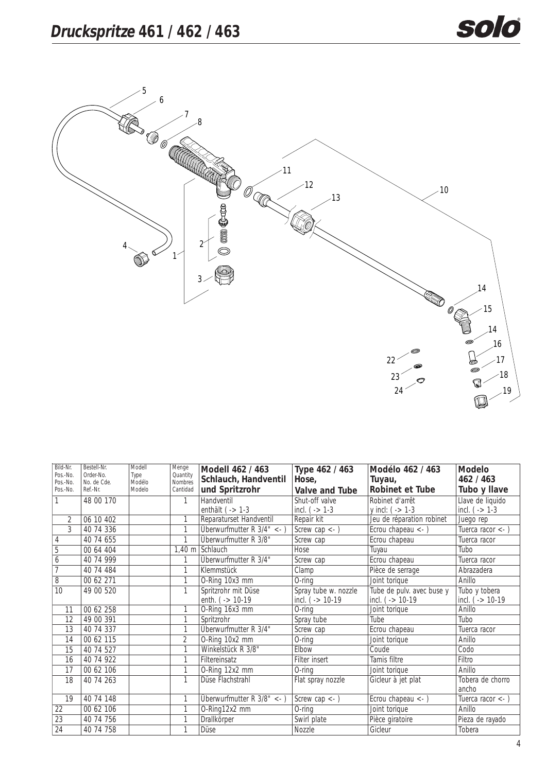

| Bild-Nr.<br>Pos.-No. | Bestell-Nr.<br>Order-No. | Modell<br>Type   | Menge<br>Quantity   | Modell 462 / 463                       | Type 462 / 463           | Modélo 462 / 463             | <b>Modelo</b>                    |
|----------------------|--------------------------|------------------|---------------------|----------------------------------------|--------------------------|------------------------------|----------------------------------|
| Pos.-No.<br>Pos.-No. | No. de Cde.<br>Ref.-Nr.  | Modélo<br>Modelo | Nombres<br>Cantidad | Schlauch, Handventil<br>und Spritzrohr | Hose,<br>Valve and Tube  | Tuyau,<br>Robinet et Tube    | 462 / 463<br>Tubo y Ilave        |
|                      | 48 00 170                |                  | 1                   | Handventil                             | Shut-off valve           | Robinet d'arrêt              | Llave de liquido                 |
|                      |                          |                  |                     | enthält $(-5)$ 1-3                     | incl. ( $-$ - $1-3$      | y incl: $( - > 1-3)$         | incl. ( $-$ > 1-3                |
| $\overline{2}$       | 06 10 402                |                  | 1                   | Reparaturset Handventil                | Repair kit               | Jeu de réparation robinet    | Juego rep                        |
| 3                    | 40 74 336                |                  | 1                   | Überwurfmutter $R$ 3/4" <- )           | Screw cap $\leftarrow$ ) | Ecrou chapeau $\leftarrow$ ) | Tuerca racor $\langle - \rangle$ |
| $\sqrt{4}$           | 40 74 655                |                  | 1                   | Überwurfmutter R 3/8"                  | Screw cap                | Ecrou chapeau                | Tuerca racor                     |
| 5                    | 00 64 404                |                  | $1,40 \; m$         | Schlauch                               | Hose                     | Tuyau                        | Tubo                             |
| 6                    | 40 74 999                |                  |                     | Überwurfmutter R 3/4"                  | Screw cap                | Ecrou chapeau                | Tuerca racor                     |
| $\overline{7}$       | 40 74 484                |                  | 1                   | <b>Klemmstück</b>                      | $\overline{C}$ lamp      | Pièce de serrage             | Abrazadera                       |
| $\overline{8}$       | 00 62 271                |                  | 1                   | O-Ring 10x3 mm                         | $O$ -ring                | Joint torique                | Anillo                           |
| $\overline{10}$      | 49 00 520                |                  | 1                   | Spritzrohr mit Düse                    | Spray tube w. nozzle     | Tube de pulv. avec buse y    | Tubo y tobera                    |
|                      |                          |                  |                     | enth. $( - > 10-19)$                   | incl. ( $-$ 10-19        | incl. ( $-$ 10-19            | incl. ( $-$ > 10-19              |
| 11                   | 00 62 258                |                  | 1                   | O-Ring 16x3 mm                         | $O$ -ring                | Joint torique                | Anillo                           |
| 12                   | 49 00 391                |                  | 1                   | Spritzrohr                             | Spray tube               | Tube                         | Tubo                             |
| 13                   | 40 74 337                |                  | 1                   | Überwurfmutter R 3/4"                  | Screw cap                | Ecrou chapeau                | Tuerca racor                     |
| 14                   | 00 62 115                |                  | $\overline{2}$      | O-Ring 10x2 mm                         | $O$ -ring                | Joint torique                | Anillo                           |
| 15                   | 40 74 527                |                  | 1                   | Winkelstück R 3/8"                     | Elbow                    | Coude                        | Codo                             |
| 16                   | 40 74 922                |                  | 1                   | Filtereinsatz                          | Filter insert            | Tamis filtre                 | Filtro                           |
| 17                   | 00 62 106                |                  | 1                   | O-Ring 12x2 mm                         | $O$ -ring                | Joint torique                | Anillo                           |
| 18                   | 40 74 263                |                  | 1                   | Düse Flachstrahl                       | Flat spray nozzle        | Gicleur à jet plat           | Tobera de chorro                 |
|                      |                          |                  |                     |                                        |                          |                              | ancho                            |
| 19                   | 40 74 148                |                  | 1                   | Überwurfmutter $R$ 3/8" <- )           | Screw cap $\leftarrow$ ) | Ecrou chapeau $\leftarrow$ ) | Tuerca racor $\leftarrow$ )      |
| 22                   | 00 62 106                |                  | 1                   | O-Ring12x2 mm                          | $O$ -ring                | Joint torique                | Anillo                           |
| $\overline{23}$      | 40 74 756                |                  | 1                   | Drallkörper                            | Swirl plate              | Pièce giratoire              | Pieza de rayado                  |
| $\overline{24}$      | 40 74 758                |                  | 1                   | Düse                                   | Nozzle                   | Gicleur                      | Tobera                           |